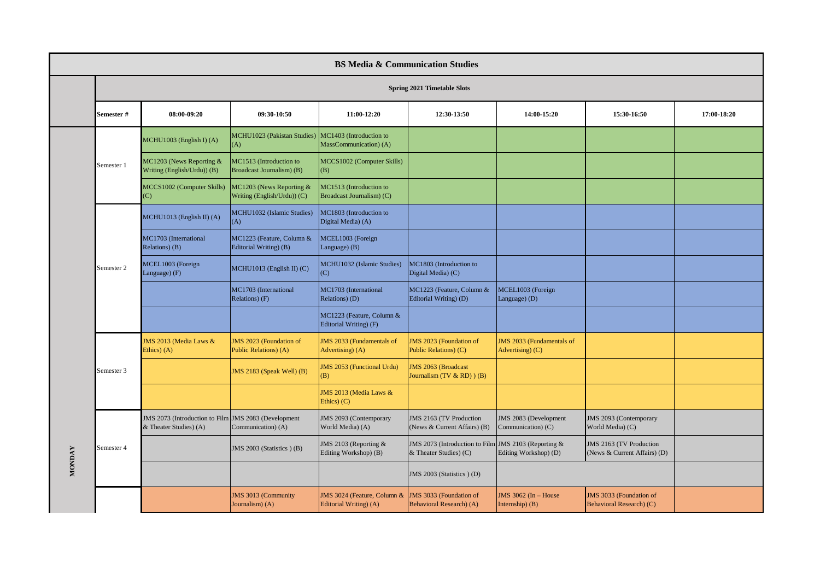|               | <b>BS Media &amp; Communication Studies</b> |                                                                                |                                                         |                                                       |                                                                                |                                                      |                                                         |             |  |  |
|---------------|---------------------------------------------|--------------------------------------------------------------------------------|---------------------------------------------------------|-------------------------------------------------------|--------------------------------------------------------------------------------|------------------------------------------------------|---------------------------------------------------------|-------------|--|--|
|               |                                             |                                                                                |                                                         |                                                       |                                                                                |                                                      |                                                         |             |  |  |
|               | Semester#                                   | 08:00-09:20                                                                    | 09:30-10:50                                             | 11:00-12:20                                           | 12:30-13:50                                                                    | 14:00-15:20                                          | 15:30-16:50                                             | 17:00-18:20 |  |  |
|               |                                             | MCHU1003 (English I) (A)                                                       | MCHU1023 (Pakistan Studies)<br>(A)                      | MC1403 (Introduction to<br>MassCommunication) (A)     |                                                                                |                                                      |                                                         |             |  |  |
|               | Semester 1                                  | MC1203 (News Reporting &<br>Writing (English/Urdu)) (B)                        | MC1513 (Introduction to<br>Broadcast Journalism) (B)    | MCCS1002 (Computer Skills)<br>(B)                     |                                                                                |                                                      |                                                         |             |  |  |
|               |                                             | MCCS1002 (Computer Skills)<br>(C)                                              | MC1203 (News Reporting &<br>Writing (English/Urdu)) (C) | MC1513 (Introduction to<br>Broadcast Journalism) (C)  |                                                                                |                                                      |                                                         |             |  |  |
|               |                                             | MCHU1013 (English II) (A)                                                      | MCHU1032 (Islamic Studies)<br>(A)                       | MC1803 (Introduction to<br>Digital Media) (A)         |                                                                                |                                                      |                                                         |             |  |  |
|               | Semester 2                                  | MC1703 (International<br>Relations) (B)                                        | MC1223 (Feature, Column &<br>Editorial Writing) (B)     | MCEL1003 (Foreign<br>Language) (B)                    |                                                                                |                                                      |                                                         |             |  |  |
|               |                                             | MCEL1003 (Foreign<br>Language) (F)                                             | MCHU1013 (English II) (C)                               | MCHU1032 (Islamic Studies)<br>(C)                     | MC1803 (Introduction to<br>Digital Media) (C)                                  |                                                      |                                                         |             |  |  |
|               |                                             |                                                                                | MC1703 (International<br>Relations) (F)                 | MC1703 (International<br>Relations) (D)               | MC1223 (Feature, Column &<br>Editorial Writing) (D)                            | MCEL1003 (Foreign<br>Language) (D)                   |                                                         |             |  |  |
|               |                                             |                                                                                |                                                         | MC1223 (Feature, Column &<br>Editorial Writing) (F)   |                                                                                |                                                      |                                                         |             |  |  |
|               |                                             | JMS 2013 (Media Laws &<br>Ethics) (A)                                          | JMS 2023 (Foundation of<br>Public Relations) (A)        | JMS 2033 (Fundamentals of<br>Advertising) (A)         | <b>JMS 2023 (Foundation of</b><br>Public Relations) (C)                        | <b>JMS 2033 (Fundamentals of</b><br>Advertising) (C) |                                                         |             |  |  |
|               | Semester 3                                  |                                                                                | JMS 2183 (Speak Well) (B)                               | <b>JMS 2053 (Functional Urdu)</b><br>(B)              | <b>JMS 2063 (Broadcast</b><br>Journalism $(TV & RD)$ $(B)$                     |                                                      |                                                         |             |  |  |
|               |                                             |                                                                                |                                                         | JMS 2013 (Media Laws &<br>Ethics $(C)$                |                                                                                |                                                      |                                                         |             |  |  |
|               |                                             | JMS 2073 (Introduction to Film JMS 2083 (Development<br>& Theater Studies) (A) | Communication) (A)                                      | JMS 2093 (Contemporary<br>World Media) (A)            | JMS 2163 (TV Production<br>(News & Current Affairs) (B)                        | JMS 2083 (Development<br>Communication) (C)          | <b>JMS 2093 (Contemporary</b><br>World Media) (C)       |             |  |  |
| <b>MONDAY</b> | Semester 4                                  |                                                                                | JMS 2003 (Statistics ) (B)                              | JMS 2103 (Reporting &<br>Editing Workshop) (B)        | JMS 2073 (Introduction to Film JMS 2103 (Reporting &<br>& Theater Studies) (C) | Editing Workshop) (D)                                | JMS 2163 (TV Production<br>(News & Current Affairs) (D) |             |  |  |
|               |                                             |                                                                                |                                                         |                                                       | JMS 2003 (Statistics ) (D)                                                     |                                                      |                                                         |             |  |  |
|               |                                             |                                                                                | JMS 3013 (Community<br>Journalism) (A)                  | JMS 3024 (Feature, Column &<br>Editorial Writing) (A) | JMS 3033 (Foundation of<br>Behavioral Research) (A)                            | JMS 3062 (In - House<br>Internship $)$ $(B)$         | JMS 3033 (Foundation of<br>Behavioral Research) (C)     |             |  |  |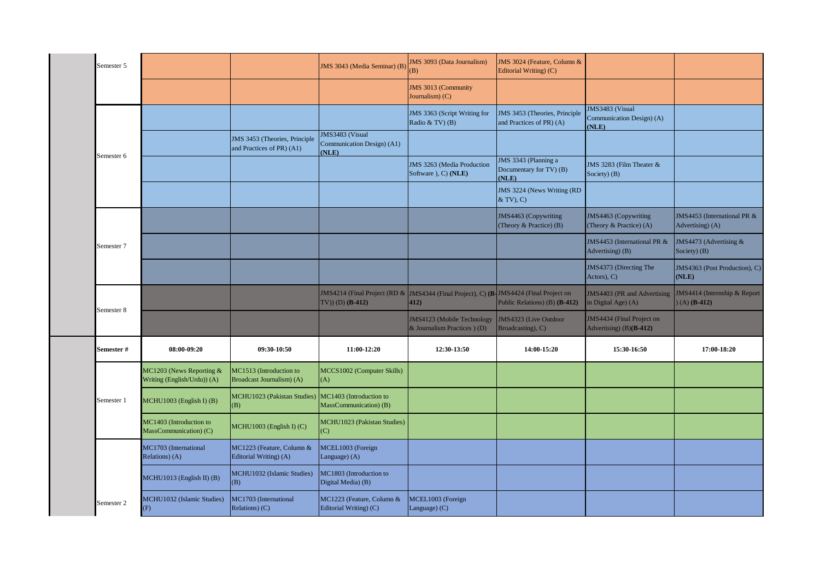|                                                         |                                                            | JMS 3043 (Media Seminar) (B)                           | <b>JMS 3093 (Data Journalism)</b><br>(B)                 | JMS 3024 (Feature, Column &<br>Editorial Writing) (C)     |                                                                                       |                                                                                                                                                                                              |
|---------------------------------------------------------|------------------------------------------------------------|--------------------------------------------------------|----------------------------------------------------------|-----------------------------------------------------------|---------------------------------------------------------------------------------------|----------------------------------------------------------------------------------------------------------------------------------------------------------------------------------------------|
|                                                         |                                                            |                                                        | JMS 3013 (Community<br>Journalism) (C)                   |                                                           |                                                                                       |                                                                                                                                                                                              |
|                                                         |                                                            |                                                        | JMS 3363 (Script Writing for<br>Radio & TV $)$ (B)       | JMS 3453 (Theories, Principle<br>and Practices of PR) (A) | JMS3483 (Visual<br>(NLE)                                                              |                                                                                                                                                                                              |
|                                                         | JMS 3453 (Theories, Principle<br>and Practices of PR) (A1) | IMS3483 (Visual<br>Communication Design) (A1)<br>(NLE) |                                                          |                                                           |                                                                                       |                                                                                                                                                                                              |
|                                                         |                                                            |                                                        | JMS 3263 (Media Production<br>Software ), C) (NLE)       | JMS 3343 (Planning a<br>Documentary for TV) (B)<br>(NLE)  |                                                                                       |                                                                                                                                                                                              |
|                                                         |                                                            |                                                        |                                                          | JMS 3224 (News Writing (RD<br>& TV), C)                   |                                                                                       |                                                                                                                                                                                              |
|                                                         |                                                            |                                                        |                                                          | JMS4463 (Copywriting<br>(Theory & Practice) (B)           | (Theory & Practice) (A)                                                               | JMS4453 (International PR &<br>Advertising) (A)                                                                                                                                              |
|                                                         |                                                            |                                                        |                                                          |                                                           | Advertising) (B)                                                                      | JMS4473 (Advertising &<br>Society) (B)                                                                                                                                                       |
|                                                         |                                                            |                                                        |                                                          |                                                           |                                                                                       | JMS4363 (Post Production), C)<br>(NLE)                                                                                                                                                       |
|                                                         |                                                            | $TV$ ) (D) ( <b>B-412</b> )                            | 412)                                                     | Public Relations) (B) (B-412)                             | JMS4403 (PR and Advertising                                                           | JMS4414 (Internship & Report<br>$(A)$ ( <b>B-412</b> )                                                                                                                                       |
|                                                         |                                                            |                                                        | JMS4123 (Mobile Technology<br>& Journalism Practices (D) | JMS4323 (Live Outdoor<br>Broadcasting), C)                | JMS4434 (Final Project on<br>Advertising) $(B)(B-412)$                                |                                                                                                                                                                                              |
| 08:00-09:20                                             | 09:30-10:50                                                | 11:00-12:20                                            | 12:30-13:50                                              | 14:00-15:20                                               | 15:30-16:50                                                                           | 17:00-18:20                                                                                                                                                                                  |
| MC1203 (News Reporting &<br>Writing (English/Urdu)) (A) | MC1513 (Introduction to<br>Broadcast Journalism) (A)       | MCCS1002 (Computer Skills)<br>(A)                      |                                                          |                                                           |                                                                                       |                                                                                                                                                                                              |
| MCHU1003 (English I) (B)                                | <b>MCHU1023</b> (Pakistan Studies)<br>(B)                  | MC1403 (Introduction to<br>MassCommunication) (B)      |                                                          |                                                           |                                                                                       |                                                                                                                                                                                              |
|                                                         |                                                            |                                                        |                                                          |                                                           |                                                                                       |                                                                                                                                                                                              |
| MC1403 (Introduction to<br>MassCommunication) (C)       | MCHU1003 (English I) (C)                                   | MCHU1023 (Pakistan Studies)<br>(C)                     |                                                          |                                                           |                                                                                       |                                                                                                                                                                                              |
| MC1703 (International<br>Relations) (A)                 | MC1223 (Feature, Column &<br>Editorial Writing) (A)        | MCEL1003 (Foreign<br>Language) (A)                     |                                                          |                                                           |                                                                                       |                                                                                                                                                                                              |
| MCHU1013 (English II) (B)                               | MCHU1032 (Islamic Studies)<br>(B)                          | MC1803 (Introduction to<br>Digital Media) (B)          |                                                          |                                                           |                                                                                       |                                                                                                                                                                                              |
|                                                         |                                                            |                                                        |                                                          |                                                           | JMS4214 (Final Project (RD & JMS4344 (Final Project), C) (B-JMS4424 (Final Project on | Communication Design) (A)<br>JMS 3283 (Film Theater &<br>Society) (B)<br>JMS4463 (Copywriting<br>JMS4453 (International PR &<br>JMS4373 (Directing The<br>Actors), C)<br>in Digital Age) (A) |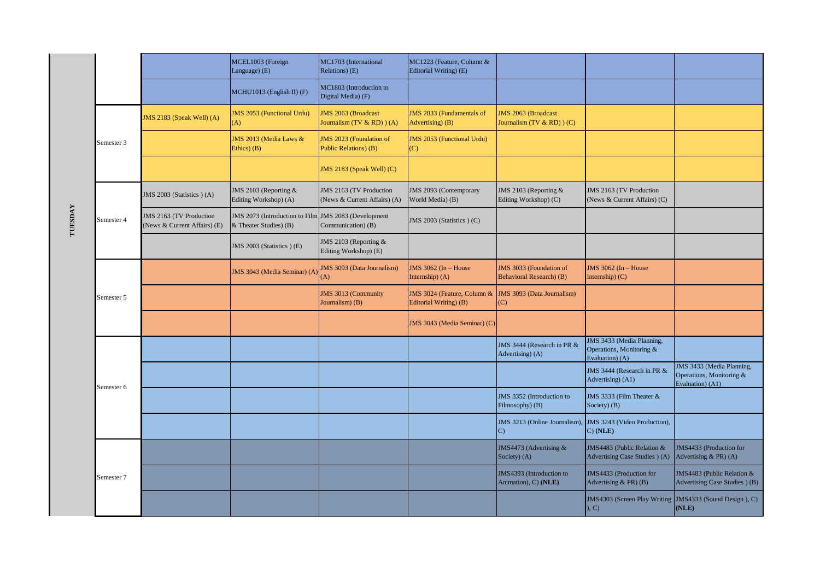|         |            |                                                         | MCEL1003 (Foreign<br>Language) (E)                                             | MC1703 (International<br>Relations) (E)                   | MC1223 (Feature, Column &<br>Editorial Writing) (E)   |                                                           |                                                                          |                                                                                  |
|---------|------------|---------------------------------------------------------|--------------------------------------------------------------------------------|-----------------------------------------------------------|-------------------------------------------------------|-----------------------------------------------------------|--------------------------------------------------------------------------|----------------------------------------------------------------------------------|
|         |            |                                                         | MCHU1013 (English II) (F)                                                      | MC1803 (Introduction to<br>Digital Media) (F)             |                                                       |                                                           |                                                                          |                                                                                  |
|         |            | JMS 2183 (Speak Well) (A)                               | <b>JMS 2053 (Functional Urdu)</b><br>(A)                                       | <b>JMS 2063 (Broadcast</b><br>Journalism (TV $&$ RD)) (A) | JMS 2033 (Fundamentals of<br>Advertising) (B)         | <b>JMS 2063 (Broadcast</b><br>Journalism (TV $&$ RD)) (C) |                                                                          |                                                                                  |
|         | Semester 3 |                                                         | JMS 2013 (Media Laws &<br>Ethics $)$ $(B)$                                     | JMS 2023 (Foundation of<br>Public Relations) (B)          | <b>JMS 2053 (Functional Urdu)</b><br>(C)              |                                                           |                                                                          |                                                                                  |
|         |            |                                                         |                                                                                | JMS 2183 (Speak Well) (C)                                 |                                                       |                                                           |                                                                          |                                                                                  |
|         |            | JMS 2003 (Statistics) (A)                               | JMS 2103 (Reporting &<br>Editing Workshop) (A)                                 | JMS 2163 (TV Production<br>(News & Current Affairs) (A)   | JMS 2093 (Contemporary<br>World Media) (B)            | JMS 2103 (Reporting &<br>Editing Workshop) (C)            | JMS 2163 (TV Production<br>(News & Current Affairs) (C)                  |                                                                                  |
| TUESDAY | Semester 4 | JMS 2163 (TV Production<br>(News & Current Affairs) (E) | JMS 2073 (Introduction to Film JMS 2083 (Development<br>& Theater Studies) (B) | Communication) (B)                                        | JMS 2003 (Statistics ) (C)                            |                                                           |                                                                          |                                                                                  |
|         |            |                                                         | JMS 2003 (Statistics) (E)                                                      | JMS 2103 (Reporting &<br>Editing Workshop) (E)            |                                                       |                                                           |                                                                          |                                                                                  |
|         |            |                                                         | JMS 3043 (Media Seminar) (A)                                                   | <b>JMS 3093 (Data Journalism)</b><br>(A)                  | JMS 3062 (In - House<br>Internship) (A)               | JMS 3033 (Foundation of<br>Behavioral Research) (B)       | $JMS$ 3062 (In - House<br>Internship $(C)$                               |                                                                                  |
|         | Semester 5 |                                                         |                                                                                | JMS 3013 (Community<br>Journalism) (B)                    | JMS 3024 (Feature, Column &<br>Editorial Writing) (B) | JMS 3093 (Data Journalism)<br>$\mathcal{C}$               |                                                                          |                                                                                  |
|         |            |                                                         |                                                                                |                                                           | JMS 3043 (Media Seminar) (C)                          |                                                           |                                                                          |                                                                                  |
|         |            |                                                         |                                                                                |                                                           |                                                       | JMS 3444 (Research in PR &<br>Advertising) (A)            | JMS 3433 (Media Planning,<br>Operations, Monitoring &<br>Evaluation) (A) |                                                                                  |
|         | Semester 6 |                                                         |                                                                                |                                                           |                                                       |                                                           | JMS 3444 (Research in PR &<br>Advertising) (A1)                          | <b>JMS 3433 (Media Planning,</b><br>Operations, Monitoring &<br>Evaluation) (A1) |
|         |            |                                                         |                                                                                |                                                           |                                                       | JMS 3352 (Introduction to<br>Filmosophy) (B)              | JMS 3333 (Film Theater &<br>Society) (B)                                 |                                                                                  |
|         |            |                                                         |                                                                                |                                                           |                                                       | JMS 3213 (Online Journalism),<br>$\mathcal{C}$            | JMS 3243 (Video Production),<br>C) (NLE)                                 |                                                                                  |
|         |            |                                                         |                                                                                |                                                           |                                                       | JMS4473 (Advertising &<br>Society) (A)                    | JMS4483 (Public Relation &<br>Advertising Case Studies ) (A)             | JMS4433 (Production for<br>Advertising $\&$ PR) (A)                              |
|         | Semester 7 |                                                         |                                                                                |                                                           |                                                       | JMS4393 (Introduction to<br>Animation), C) (NLE)          | JMS4433 (Production for<br>Advertising $& PR$ (B)                        | JMS4483 (Public Relation &<br>Advertising Case Studies ) (B)                     |
|         |            |                                                         |                                                                                |                                                           |                                                       |                                                           | JMS4303 (Screen Play Writing JMS4333 (Sound Design), C)<br>, C)          | (NLE)                                                                            |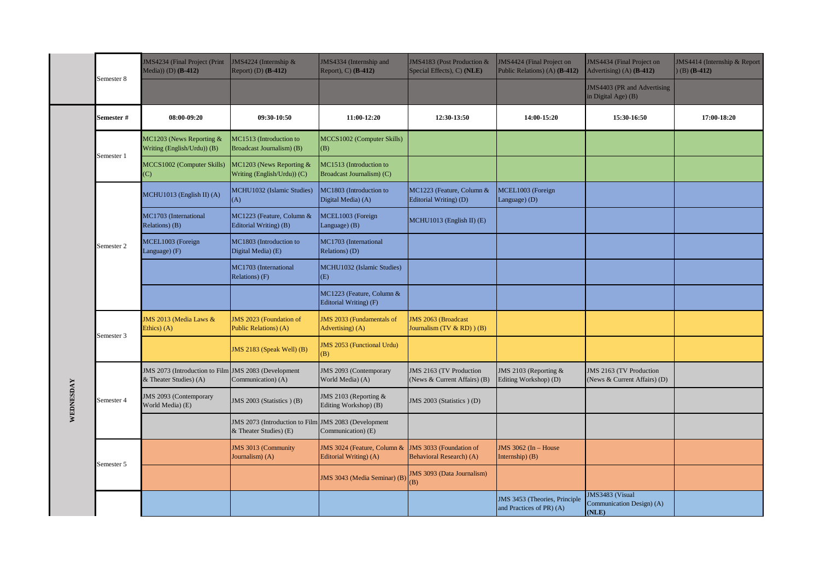|           | Semester 8 | JMS4234 (Final Project (Print<br>Media)) (D) ( <b>B-412</b> )                  | JMS4224 (Internship &<br>Report) (D) $(B-412)$           | JMS4334 (Internship and<br>Report), C) (B-412)        | JMS4183 (Post Production &<br>Special Effects), C) (NLE)    | JMS4424 (Final Project on<br>Public Relations) (A) (B-412) | JMS4434 (Final Project on<br>Advertising) (A) $(B-412)$ | JMS4414 (Internship & Report<br>$(B)$ (B-412) |
|-----------|------------|--------------------------------------------------------------------------------|----------------------------------------------------------|-------------------------------------------------------|-------------------------------------------------------------|------------------------------------------------------------|---------------------------------------------------------|-----------------------------------------------|
|           |            |                                                                                |                                                          |                                                       |                                                             |                                                            | JMS4403 (PR and Advertising<br>in Digital Age) (B)      |                                               |
|           | Semester # | 08:00-09:20                                                                    | 09:30-10:50                                              | 11:00-12:20                                           | 12:30-13:50                                                 | 14:00-15:20                                                | 15:30-16:50                                             | 17:00-18:20                                   |
|           | Semester 1 | MC1203 (News Reporting &<br>Writing (English/Urdu)) (B)                        | MC1513 (Introduction to<br>Broadcast Journalism) (B)     | MCCS1002 (Computer Skills)<br>(B)                     |                                                             |                                                            |                                                         |                                               |
|           |            | MCCS1002 (Computer Skills)<br>(C)                                              | MC1203 (News Reporting &<br>Writing (English/Urdu)) (C)  | MC1513 (Introduction to<br>Broadcast Journalism) (C)  |                                                             |                                                            |                                                         |                                               |
|           |            | $MCHU1013$ (English II) (A)                                                    | MCHU1032 (Islamic Studies)<br>(A)                        | MC1803 (Introduction to<br>Digital Media) (A)         | MC1223 (Feature, Column &<br>Editorial Writing) (D)         | MCEL1003 (Foreign<br>Language) (D)                         |                                                         |                                               |
|           |            | MC1703 (International<br>Relations) (B)                                        | MC1223 (Feature, Column &<br>Editorial Writing) (B)      | MCEL1003 (Foreign<br>Language) (B)                    | MCHU1013 (English II) (E)                                   |                                                            |                                                         |                                               |
|           | Semester 2 | MCEL1003 (Foreign<br>Language) (F)                                             | MC1803 (Introduction to<br>Digital Media) (E)            | MC1703 (International<br>Relations) (D)               |                                                             |                                                            |                                                         |                                               |
|           |            |                                                                                | MC1703 (International<br>Relations) (F)                  | MCHU1032 (Islamic Studies)<br>(E)                     |                                                             |                                                            |                                                         |                                               |
|           |            |                                                                                |                                                          | MC1223 (Feature, Column &<br>Editorial Writing) (F)   |                                                             |                                                            |                                                         |                                               |
|           | Semester 3 | JMS 2013 (Media Laws &<br>Ethics) (A)                                          | JMS 2023 (Foundation of<br>Public Relations) (A)         | JMS 2033 (Fundamentals of<br>Advertising) (A)         | <b>JMS 2063 (Broadcast</b><br>Journalism (TV $&$ RD) $)(B)$ |                                                            |                                                         |                                               |
|           |            |                                                                                | JMS 2183 (Speak Well) (B)                                | IMS 2053 (Functional Urdu)<br>(B)                     |                                                             |                                                            |                                                         |                                               |
|           |            | JMS 2073 (Introduction to Film JMS 2083 (Development<br>& Theater Studies) (A) | Communication) (A)                                       | JMS 2093 (Contemporary<br>World Media) (A)            | JMS 2163 (TV Production<br>(News & Current Affairs) (B)     | JMS 2103 (Reporting &<br>Editing Workshop) (D)             | JMS 2163 (TV Production<br>(News & Current Affairs) (D) |                                               |
| WEDNESDAY | Semester 4 | JMS 2093 (Contemporary<br>World Media) (E)                                     | JMS 2003 (Statistics) (B)                                | JMS 2103 (Reporting &<br>Editing Workshop) (B)        | JMS 2003 (Statistics ) (D)                                  |                                                            |                                                         |                                               |
|           |            |                                                                                | JMS 2073 (Introduction to Film<br>& Theater Studies) (E) | JMS 2083 (Development<br>Communication) (E)           |                                                             |                                                            |                                                         |                                               |
|           | Semester 5 |                                                                                | JMS 3013 (Community<br>Journalism) (A)                   | JMS 3024 (Feature, Column &<br>Editorial Writing) (A) | JMS 3033 (Foundation of<br><b>Behavioral Research</b> ) (A) | JMS 3062 (In - House<br>Internship $)$ $(B)$               |                                                         |                                               |
|           |            |                                                                                |                                                          | JMS 3043 (Media Seminar) (B                           | IMS 3093 (Data Journalism)<br>(B)                           |                                                            |                                                         |                                               |
|           |            |                                                                                |                                                          |                                                       |                                                             | JMS 3453 (Theories, Principle<br>and Practices of PR) (A)  | JMS3483 (Visual<br>Communication Design) (A)<br>(MLE)   |                                               |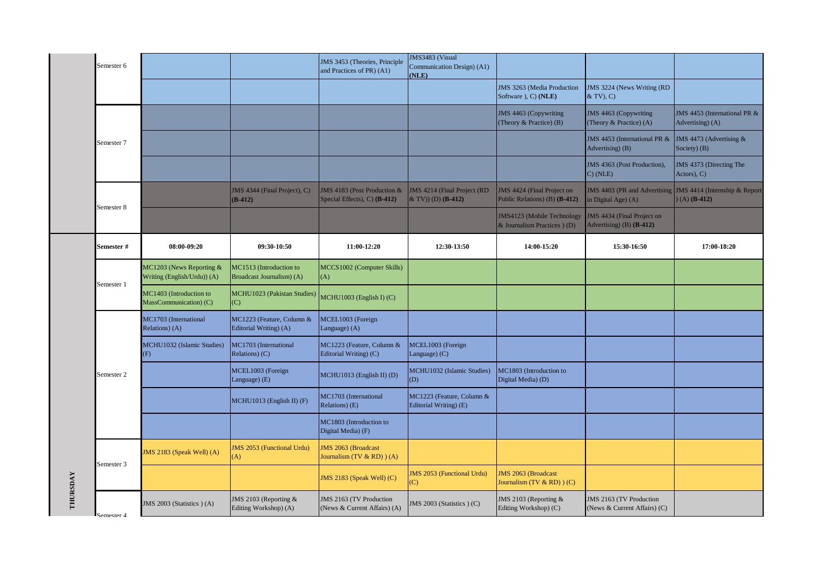|          | Semester 6           |                                                         |                                                      | JMS 3453 (Theories, Principle<br>and Practices of PR) (A1)  | JMS3483 (Visual<br>Communication Design) (A1)<br>(NLE)          |                                                             |                                                         |                                                         |
|----------|----------------------|---------------------------------------------------------|------------------------------------------------------|-------------------------------------------------------------|-----------------------------------------------------------------|-------------------------------------------------------------|---------------------------------------------------------|---------------------------------------------------------|
|          |                      |                                                         |                                                      |                                                             |                                                                 | JMS 3263 (Media Production<br>Software ), C) (NLE)          | JMS 3224 (News Writing (RD<br>$& TV$ , C)               |                                                         |
|          |                      |                                                         |                                                      |                                                             |                                                                 | JMS 4463 (Copywriting<br>(Theory & Practice) (B)            | JMS 4463 (Copywriting<br>(Theory & Practice) (A)        | JMS 4453 (International PR &<br>Advertising) (A)        |
|          | Semester 7           |                                                         |                                                      |                                                             |                                                                 |                                                             | JMS 4453 (International PR &  <br>Advertising) (B)      | JMS 4473 (Advertising &<br>Society) (B)                 |
|          |                      |                                                         |                                                      |                                                             |                                                                 |                                                             | JMS 4363 (Post Production),<br>$C)$ (NLE)               | JMS 4373 (Directing The<br>$Actors)$ , $C)$             |
|          | Semester 8           |                                                         | JMS 4344 (Final Project), C)<br>$(B-412)$            | JMS 4183 (Post Production &<br>Special Effects), C) (B-412) | <b>JMS 4214 (Final Project (RD</b><br>$&$ TV)) (D) (B-412)      | JMS 4424 (Final Project on<br>Public Relations) (B) (B-412) | JMS 4403 (PR and Advertising<br>in Digital Age) (A)     | JMS 4414 (Internship & Report<br>$(A)$ ( <b>B-412</b> ) |
|          |                      |                                                         |                                                      |                                                             |                                                                 | JMS4123 (Mobile Technology<br>& Journalism Practices $(D)$  | IMS 4434 (Final Project on<br>Advertising) (B) (B-412)  |                                                         |
|          | Semester #           | 08:00-09:20                                             | 09:30-10:50                                          | 11:00-12:20                                                 | 12:30-13:50                                                     | 14:00-15:20                                                 | 15:30-16:50                                             | 17:00-18:20                                             |
|          | Semester 1           | MC1203 (News Reporting &<br>Writing (English/Urdu)) (A) | MC1513 (Introduction to<br>Broadcast Journalism) (A) | MCCS1002 (Computer Skills)<br>(A)                           |                                                                 |                                                             |                                                         |                                                         |
|          |                      | MC1403 (Introduction to<br>MassCommunication) (C)       | MCHU1023 (Pakistan Studies)<br>(C)                   | $MCHU1003$ (English I) (C)                                  |                                                                 |                                                             |                                                         |                                                         |
|          |                      | MC1703 (International<br>Relations) (A)                 | MC1223 (Feature, Column &<br>Editorial Writing) (A)  | MCEL1003 (Foreign<br>Language) (A)                          |                                                                 |                                                             |                                                         |                                                         |
|          |                      | MCHU1032 (Islamic Studies)<br>(F)                       | MC1703 (International<br>Relations) (C)              | MC1223 (Feature, Column &<br>Editorial Writing) (C)         | MCEL1003 (Foreign<br>Language) (C)                              |                                                             |                                                         |                                                         |
|          | Semester 2           |                                                         | MCEL1003 (Foreign<br>Language) (E)                   | MCHU1013 (English II) (D)                                   | MCHU1032 (Islamic Studies)<br>(D)                               | MC1803 (Introduction to<br>Digital Media) (D)               |                                                         |                                                         |
|          |                      |                                                         | MCHU1013 (English II) (F)                            | <b>MC1703</b> (International<br>Relations) (E)              | MC1223 (Feature, Column &<br>Editorial Writing) (E)             |                                                             |                                                         |                                                         |
|          |                      |                                                         |                                                      | MC1803 (Introduction to<br>Digital Media) (F)               |                                                                 |                                                             |                                                         |                                                         |
|          | Semester 3           | JMS 2183 (Speak Well) (A)                               | <b>JMS 2053 (Functional Urdu)</b><br>(A)             | IMS 2063 (Broadcast<br>Fournalism $(TV & RD)$ $(A)$         |                                                                 |                                                             |                                                         |                                                         |
|          |                      |                                                         |                                                      | JMS 2183 (Speak Well) (C)                                   | <b>IMS 2053 (Functional Urdu)</b><br>$\left( \mathrm{C}\right)$ | <b>JMS 2063 (Broadcast</b><br>Journalism (TV & RD) ) (C)    |                                                         |                                                         |
| THURSDAY | $S$ emester $\Delta$ | JMS 2003 (Statistics ) (A)                              | JMS 2103 (Reporting &<br>Editing Workshop) (A)       | JMS 2163 (TV Production<br>(News & Current Affairs) (A)     | JMS 2003 (Statistics ) (C)                                      | JMS 2103 (Reporting &<br>Editing Workshop) (C)              | JMS 2163 (TV Production<br>(News & Current Affairs) (C) |                                                         |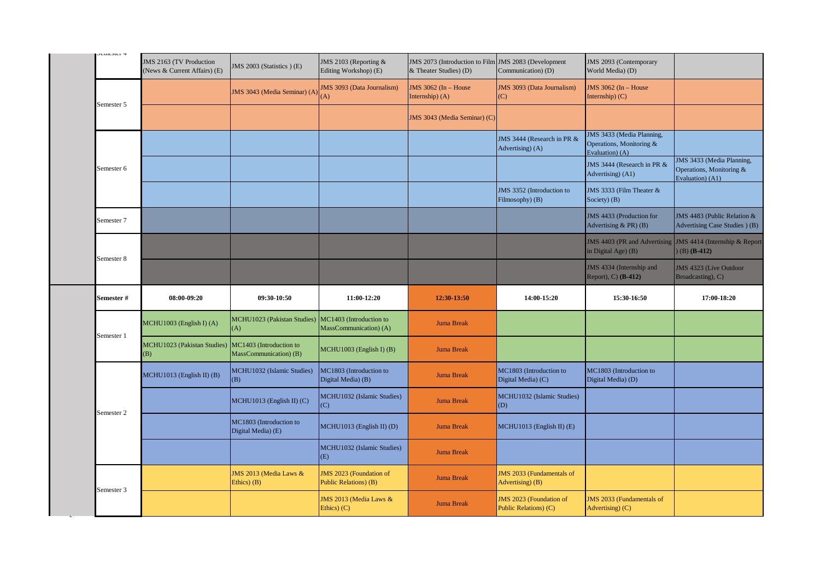| n          | JMS 2163 (TV Production<br>(News & Current Affairs) (E) | JMS 2003 (Statistics) (E)                         | JMS 2103 (Reporting &<br>Editing Workshop) (E)    | JMS 2073 (Introduction to Film JMS 2083 (Development<br>& Theater Studies) (D) | Communication) (D)                                   | JMS 2093 (Contemporary<br>World Media) (D)                                      |                                                                           |
|------------|---------------------------------------------------------|---------------------------------------------------|---------------------------------------------------|--------------------------------------------------------------------------------|------------------------------------------------------|---------------------------------------------------------------------------------|---------------------------------------------------------------------------|
| Semester 5 |                                                         | JMS 3043 (Media Seminar) (A                       | <b>JMS 3093 (Data Journalism)</b><br>(A)          | JMS 3062 (In - House<br>Internship $(A)$                                       | <b>JMS 3093 (Data Journalism)</b><br>(C)             | JMS 3062 (In - House<br>Internship $(C)$                                        |                                                                           |
|            |                                                         |                                                   |                                                   | JMS 3043 (Media Seminar) (C)                                                   |                                                      |                                                                                 |                                                                           |
|            |                                                         |                                                   |                                                   |                                                                                | JMS 3444 (Research in PR &<br>Advertising) (A)       | <b>JMS 3433 (Media Planning,</b><br>Operations, Monitoring &<br>Evaluation) (A) |                                                                           |
| Semester 6 |                                                         |                                                   |                                                   |                                                                                |                                                      | JMS 3444 (Research in PR &<br>Advertising) (A1)                                 | JMS 3433 (Media Planning,<br>Operations, Monitoring &<br>Evaluation) (A1) |
|            |                                                         |                                                   |                                                   |                                                                                | JMS 3352 (Introduction to<br>Filmosophy) (B)         | JMS 3333 (Film Theater &<br>Society) (B)                                        |                                                                           |
| Semester 7 |                                                         |                                                   |                                                   |                                                                                |                                                      | JMS 4433 (Production for<br>Advertising & PR) (B)                               | JMS 4483 (Public Relation &<br>Advertising Case Studies (B)               |
| Semester 8 |                                                         |                                                   |                                                   |                                                                                |                                                      | JMS 4403 (PR and Advertising<br>in Digital Age $( B )$                          | JMS 4414 (Internship & Report<br>$(B)$ (B-412)                            |
|            |                                                         |                                                   |                                                   |                                                                                |                                                      | JMS 4334 (Internship and<br>Report), C) (B-412)                                 | JMS 4323 (Live Outdoor<br>Broadcasting), C)                               |
|            |                                                         |                                                   |                                                   |                                                                                |                                                      |                                                                                 |                                                                           |
| Semester # | 08:00-09:20                                             | 09:30-10:50                                       | 11:00-12:20                                       | 12:30-13:50                                                                    | 14:00-15:20                                          | 15:30-16:50                                                                     | 17:00-18:20                                                               |
|            | MCHU1003 (English I) (A)                                | <b>MCHU1023</b> (Pakistan Studies)<br>(A)         | MC1403 (Introduction to<br>MassCommunication) (A) | <b>Juma Break</b>                                                              |                                                      |                                                                                 |                                                                           |
| Semester 1 | MCHU1023 (Pakistan Studies)<br>(B)                      | MC1403 (Introduction to<br>MassCommunication) (B) | MCHU1003 (English I) (B)                          | <b>Juma Break</b>                                                              |                                                      |                                                                                 |                                                                           |
|            | MCHU1013 (English II) (B)                               | MCHU1032 (Islamic Studies)<br>(B)                 | MC1803 (Introduction to<br>Digital Media) (B)     | <b>Juma Break</b>                                                              | MC1803 (Introduction to<br>Digital Media) (C)        | MC1803 (Introduction to<br>Digital Media) (D)                                   |                                                                           |
|            |                                                         | MCHU1013 (English II) (C)                         | MCHU1032 (Islamic Studies)<br>(C)                 | <b>Juma Break</b>                                                              | MCHU1032 (Islamic Studies)<br>(D)                    |                                                                                 |                                                                           |
| Semester 2 |                                                         | MC1803 (Introduction to<br>Digital Media) (E)     | MCHU1013 (English II) (D)                         | <b>Juma Break</b>                                                              | MCHU1013 (English II) (E)                            |                                                                                 |                                                                           |
|            |                                                         |                                                   | MCHU1032 (Islamic Studies)<br>(E)                 | <b>Juma Break</b>                                                              |                                                      |                                                                                 |                                                                           |
| Semester 3 |                                                         | JMS 2013 (Media Laws &<br>Ethics $)$ $(B)$        | JMS 2023 (Foundation of<br>Public Relations) (B)  | <b>Juma Break</b>                                                              | <b>JMS 2033 (Fundamentals of</b><br>Advertising) (B) |                                                                                 |                                                                           |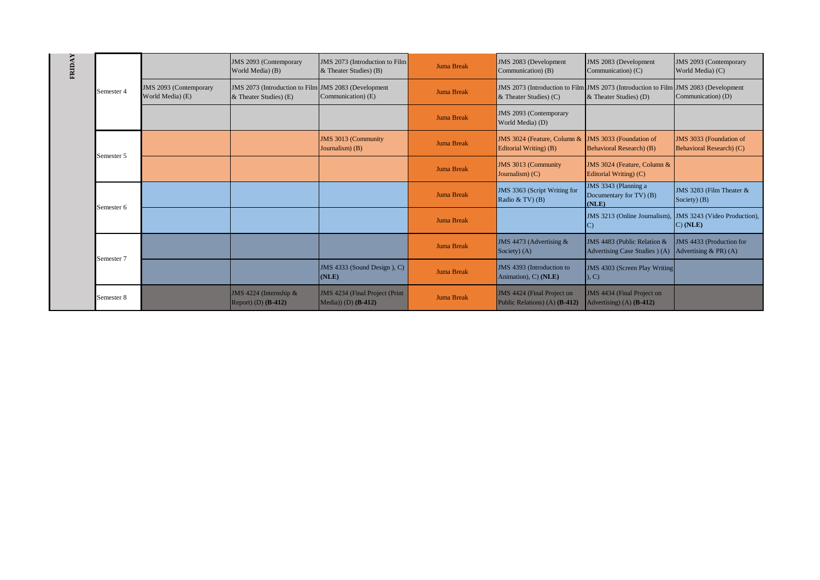| FRIDAY |            |                                            | JMS 2093 (Contemporary<br>World Media) (B)                                        | JMS 2073 (Introduction to Film<br>& Theater Studies) (B) | <b>Juma Break</b> | JMS 2083 (Development<br>Communication) (B)                 | JMS 2083 (Development<br>Communication) (C)                                                                   | JMS 2093 (Contemporary<br>World Media) (C)          |
|--------|------------|--------------------------------------------|-----------------------------------------------------------------------------------|----------------------------------------------------------|-------------------|-------------------------------------------------------------|---------------------------------------------------------------------------------------------------------------|-----------------------------------------------------|
|        | Semester 4 | JMS 2093 (Contemporary<br>World Media) (E) | JMS 2073 (Introduction to Film JMS 2083 (Development)<br>& Theater Studies) $(E)$ | Communication) (E)                                       | <b>Juma Break</b> | $&$ Theater Studies) (C)                                    | JMS 2073 (Introduction to Film JMS 2073 (Introduction to Film JMS 2083 (Development<br>& Theater Studies) (D) | Communication) (D)                                  |
|        |            |                                            |                                                                                   |                                                          | <b>Juma Break</b> | JMS 2093 (Contemporary<br>World Media) (D)                  |                                                                                                               |                                                     |
|        | Semester 5 |                                            |                                                                                   | JMS 3013 (Community<br>Journalism) (B)                   | <b>Juma Break</b> | JMS 3024 (Feature, Column &<br>Editorial Writing) (B)       | JMS 3033 (Foundation of<br>Behavioral Research) (B)                                                           | JMS 3033 (Foundation of<br>Behavioral Research) (C) |
|        |            |                                            |                                                                                   |                                                          | <b>Juma Break</b> | JMS 3013 (Community<br>Journalism $(C)$                     | JMS 3024 (Feature, Column &<br>Editorial Writing) (C)                                                         |                                                     |
|        | Semester 6 |                                            |                                                                                   |                                                          | <b>Juma Break</b> | JMS 3363 (Script Writing for<br>Radio & TV $($ B $)$        | JMS 3343 (Planning a<br>Documentary for TV) (B)<br>(NLE)                                                      | JMS 3283 (Film Theater &<br>Society) (B)            |
|        |            |                                            |                                                                                   |                                                          | <b>Juma Break</b> |                                                             | JMS 3213 (Online Journalism),<br>$\mathcal{C}$                                                                | JMS 3243 (Video Production),<br>C) (NLE)            |
|        | Semester 7 |                                            |                                                                                   |                                                          | <b>Juma Break</b> | JMS 4473 (Advertising &<br>Society) (A)                     | JMS 4483 (Public Relation $&$<br>Advertising Case Studies ) (A)                                               | JMS 4433 (Production for<br>Advertising $& PR$ (A)  |
|        |            |                                            |                                                                                   | JMS 4333 (Sound Design), C)<br>(NLE)                     | <b>Juma Break</b> | JMS 4393 (Introduction to<br>Animation), C) (NLE)           | <b>JMS 4303 (Screen Play Writing</b><br>, C)                                                                  |                                                     |
|        | Semester 8 |                                            | JMS 4224 (Internship $&$<br>Report) (D) $(B-412)$                                 | JMS 4234 (Final Project (Print<br>$Media)$ (D) $(B-412)$ | <b>Juma Break</b> | JMS 4424 (Final Project on<br>Public Relations) (A) (B-412) | JMS 4434 (Final Project on<br>Advertising) (A) $(B-412)$                                                      |                                                     |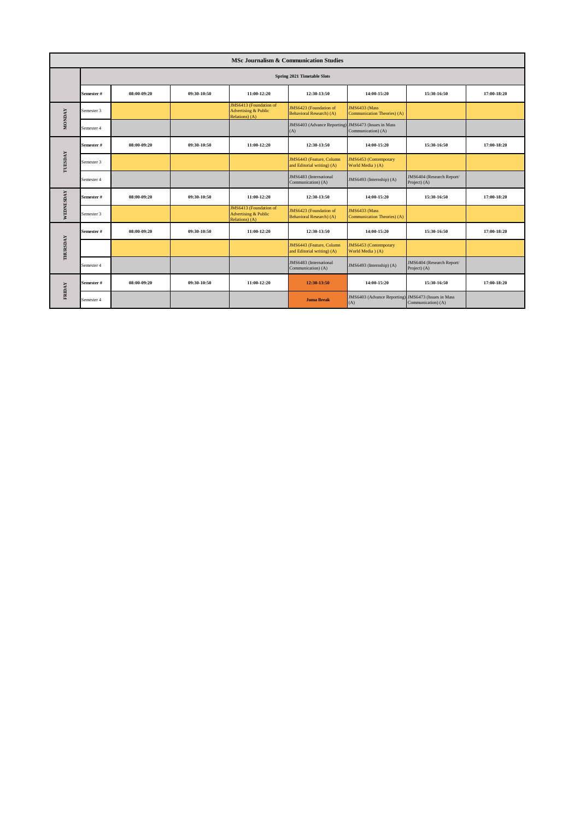|               | <b>MSc Journalism &amp; Communication Studies</b> |             |             |                                                                             |                                                            |                                                              |                                               |             |  |  |
|---------------|---------------------------------------------------|-------------|-------------|-----------------------------------------------------------------------------|------------------------------------------------------------|--------------------------------------------------------------|-----------------------------------------------|-------------|--|--|
|               | Spring 2021 Timetable Slots                       |             |             |                                                                             |                                                            |                                                              |                                               |             |  |  |
|               | Semester#                                         | 08:00-09:20 | 09:30-10:50 | 11:00-12:20                                                                 | 12:30-13:50                                                | 14:00-15:20                                                  | 15:30-16:50                                   | 17:00-18:20 |  |  |
| <b>MONDAY</b> | Semester 3                                        |             |             | JMS6413 (Foundation of<br><b>Advertising &amp; Public</b><br>Relations) (A) | JMS6423 (Foundation of<br>Behavioral Research) (A)         | <b>JMS6433 (Mass)</b><br><b>Communication Theories</b> ) (A) |                                               |             |  |  |
|               | Semester 4                                        |             |             |                                                                             | JMS6403 (Advance Reporting) JMS6473 (Issues in Mass<br>(A) | Communication) (A)                                           |                                               |             |  |  |
|               | Semester #                                        | 08:00-09:20 | 09:30-10:50 | 11:00-12:20                                                                 | 12:30-13:50                                                | 14:00-15:20                                                  | 15:30-16:50                                   | 17:00-18:20 |  |  |
| TUESDAY       | Semester 3                                        |             |             |                                                                             | JMS6443 (Feature, Column<br>and Editorial writing) (A)     | JMS6453 (Contemporary<br>World Media ) (A)                   |                                               |             |  |  |
|               | Semester 4                                        |             |             |                                                                             | JMS6483 (International<br>Communication) (A)               | JMS6493 (Internship) (A)                                     | JMS6404 (Research Report/<br>Project) (A)     |             |  |  |
| WEDNESDAY     | Semester#                                         | 08:00-09:20 | 09:30-10:50 | 11:00-12:20                                                                 | 12:30-13:50                                                | 14:00-15:20                                                  | 15:30-16:50                                   | 17:00-18:20 |  |  |
|               | Semester 3                                        |             |             | JMS6413 (Foundation of<br><b>Advertising &amp; Public</b><br>Relations) (A) | JMS6423 (Foundation of<br>Behavioral Research) (A)         | <b>JMS6433 (Mass)</b><br>Communication Theories) (A)         |                                               |             |  |  |
|               | Semester#                                         | 08:00-09:20 | 09:30-10:50 | 11:00-12:20                                                                 | 12:30-13:50                                                | 14:00-15:20                                                  | 15:30-16:50                                   | 17:00-18:20 |  |  |
| THURSDAY      |                                                   |             |             |                                                                             | JMS6443 (Feature, Column<br>and Editorial writing) (A)     | JMS6453 (Contemporary<br>World Media ) (A)                   |                                               |             |  |  |
|               | Semester 4                                        |             |             |                                                                             | JMS6483 (International<br>Communication) (A)               | JMS6493 (Internship) (A)                                     | JMS6404 (Research Report/<br>Project) (A)     |             |  |  |
| <b>FRIDAY</b> | Semester #                                        | 08:00-09:20 | 09:30-10:50 | 11:00-12:20                                                                 | 12:30-13:50                                                | 14:00-15:20                                                  | 15:30-16:50                                   | 17:00-18:20 |  |  |
|               | Semester 4                                        |             |             |                                                                             | <b>Juma Break</b>                                          | JMS6403 (Advance Reporting)<br>(A)                           | JMS6473 (Issues in Mass<br>Communication) (A) |             |  |  |